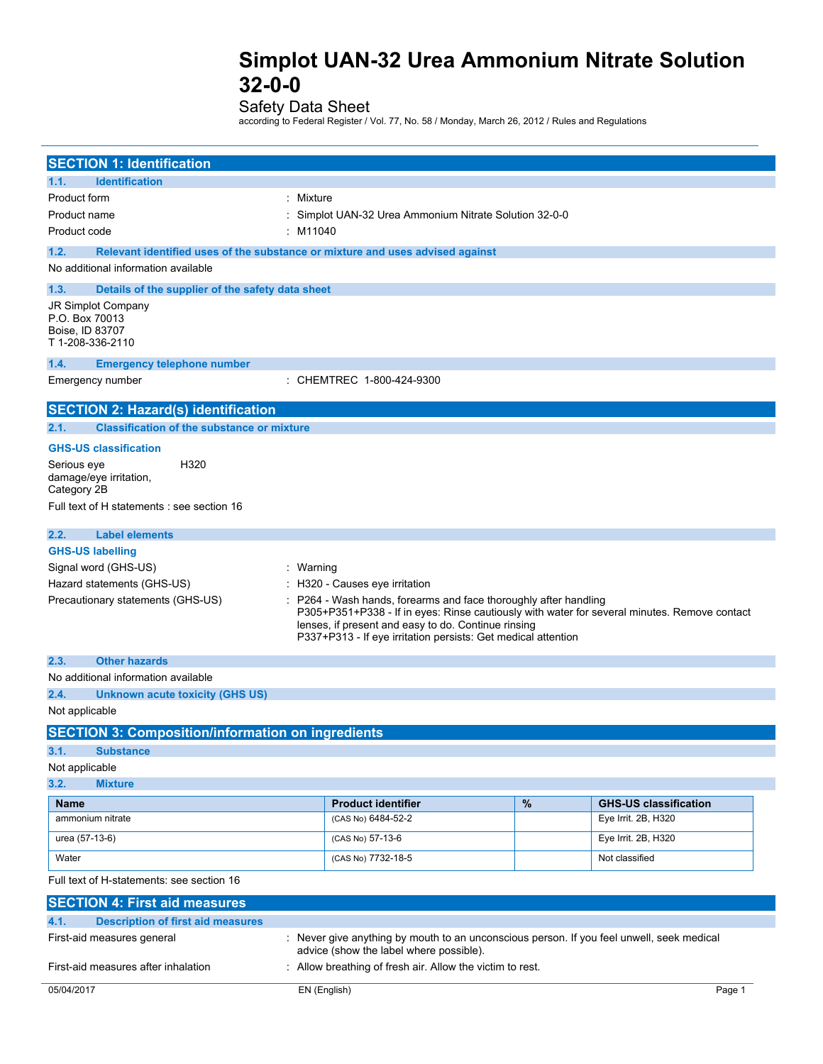Safety Data Sheet

according to Federal Register / Vol. 77, No. 58 / Monday, March 26, 2012 / Rules and Regulations

| <b>SECTION 1: Identification</b>                          |                                                                                                                                                                |      |                                                     |
|-----------------------------------------------------------|----------------------------------------------------------------------------------------------------------------------------------------------------------------|------|-----------------------------------------------------|
| <b>Identification</b><br>1.1.                             |                                                                                                                                                                |      |                                                     |
| Product form                                              | : Mixture                                                                                                                                                      |      |                                                     |
| Product name                                              | Simplot UAN-32 Urea Ammonium Nitrate Solution 32-0-0                                                                                                           |      |                                                     |
| Product code                                              | $:$ M11040                                                                                                                                                     |      |                                                     |
| 1.2.                                                      | Relevant identified uses of the substance or mixture and uses advised against                                                                                  |      |                                                     |
| No additional information available                       |                                                                                                                                                                |      |                                                     |
| 1.3.<br>Details of the supplier of the safety data sheet  |                                                                                                                                                                |      |                                                     |
| JR Simplot Company<br>P.O. Box 70013                      |                                                                                                                                                                |      |                                                     |
| Boise, ID 83707                                           |                                                                                                                                                                |      |                                                     |
| T 1-208-336-2110                                          |                                                                                                                                                                |      |                                                     |
| 1.4.<br><b>Emergency telephone number</b>                 |                                                                                                                                                                |      |                                                     |
| Emergency number                                          | : CHEMTREC 1-800-424-9300                                                                                                                                      |      |                                                     |
| <b>SECTION 2: Hazard(s) identification</b>                |                                                                                                                                                                |      |                                                     |
| 2.1.<br><b>Classification of the substance or mixture</b> |                                                                                                                                                                |      |                                                     |
| <b>GHS-US classification</b>                              |                                                                                                                                                                |      |                                                     |
| H320<br>Serious eye                                       |                                                                                                                                                                |      |                                                     |
| damage/eye irritation,                                    |                                                                                                                                                                |      |                                                     |
| Category 2B                                               |                                                                                                                                                                |      |                                                     |
| Full text of H statements : see section 16                |                                                                                                                                                                |      |                                                     |
| 2.2.<br><b>Label elements</b>                             |                                                                                                                                                                |      |                                                     |
| <b>GHS-US labelling</b>                                   |                                                                                                                                                                |      |                                                     |
| Signal word (GHS-US)                                      | : Warning                                                                                                                                                      |      |                                                     |
| Hazard statements (GHS-US)                                | H320 - Causes eye irritation                                                                                                                                   |      |                                                     |
| Precautionary statements (GHS-US)                         | P264 - Wash hands, forearms and face thoroughly after handling<br>P305+P351+P338 - If in eyes: Rinse cautiously with water for several minutes. Remove contact |      |                                                     |
|                                                           | lenses, if present and easy to do. Continue rinsing                                                                                                            |      |                                                     |
|                                                           | P337+P313 - If eye irritation persists: Get medical attention                                                                                                  |      |                                                     |
| <b>Other hazards</b><br>2.3.                              |                                                                                                                                                                |      |                                                     |
| No additional information available                       |                                                                                                                                                                |      |                                                     |
| 2.4.<br><b>Unknown acute toxicity (GHS US)</b>            |                                                                                                                                                                |      |                                                     |
| Not applicable                                            |                                                                                                                                                                |      |                                                     |
| <b>SECTION 3: Composition/information on ingredients</b>  |                                                                                                                                                                |      |                                                     |
| 3.1.<br><b>Substance</b>                                  |                                                                                                                                                                |      |                                                     |
| Not applicable                                            |                                                                                                                                                                |      |                                                     |
| 3.2.<br><b>Mixture</b>                                    |                                                                                                                                                                |      |                                                     |
| <b>Name</b><br>ammonium nitrate                           | <b>Product identifier</b><br>(CAS No) 6484-52-2                                                                                                                | $\%$ | <b>GHS-US classification</b><br>Eye Irrit. 2B, H320 |
|                                                           |                                                                                                                                                                |      |                                                     |
| urea (57-13-6)                                            | (CAS No) 57-13-6                                                                                                                                               |      | Eye Irrit. 2B, H320                                 |
| Water                                                     | (CAS No) 7732-18-5                                                                                                                                             |      | Not classified                                      |
| Full text of H-statements: see section 16                 |                                                                                                                                                                |      |                                                     |
| <b>SECTION 4: First aid measures</b>                      |                                                                                                                                                                |      |                                                     |
| 4.1.<br><b>Description of first aid measures</b>          |                                                                                                                                                                |      |                                                     |
| First-aid measures general                                | : Never give anything by mouth to an unconscious person. If you feel unwell, seek medical                                                                      |      |                                                     |
| First-aid measures after inhalation                       | advice (show the label where possible).<br>: Allow breathing of fresh air. Allow the victim to rest.                                                           |      |                                                     |
|                                                           |                                                                                                                                                                |      |                                                     |
| 05/04/2017                                                | EN (English)                                                                                                                                                   |      | Page 1                                              |
|                                                           |                                                                                                                                                                |      |                                                     |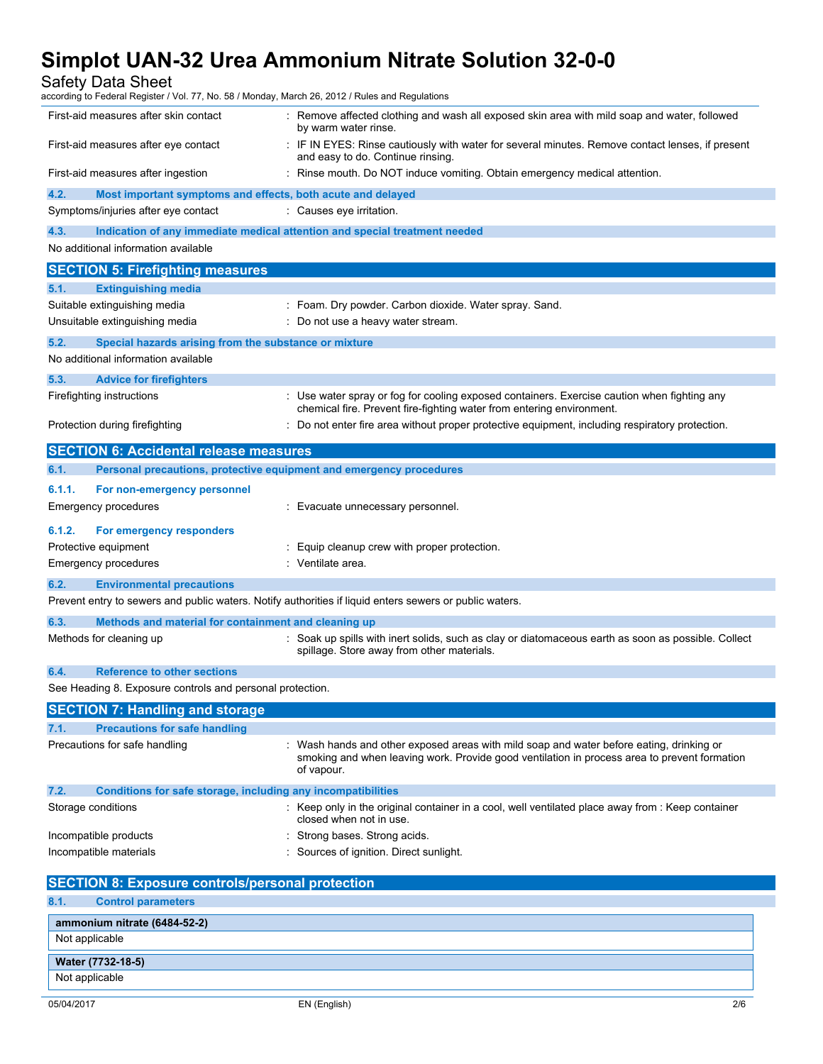Safety Data Sheet

| according to Federal Register / Vol. 77, No. 58 / Monday, March 26, 2012 / Rules and Regulations        |                                                                                                                                                                                                      |  |  |
|---------------------------------------------------------------------------------------------------------|------------------------------------------------------------------------------------------------------------------------------------------------------------------------------------------------------|--|--|
| First-aid measures after skin contact                                                                   | : Remove affected clothing and wash all exposed skin area with mild soap and water, followed<br>by warm water rinse.                                                                                 |  |  |
| First-aid measures after eye contact                                                                    | : IF IN EYES: Rinse cautiously with water for several minutes. Remove contact lenses, if present<br>and easy to do. Continue rinsing.                                                                |  |  |
| First-aid measures after ingestion                                                                      | : Rinse mouth. Do NOT induce vomiting. Obtain emergency medical attention.                                                                                                                           |  |  |
| 4.2.<br>Most important symptoms and effects, both acute and delayed                                     |                                                                                                                                                                                                      |  |  |
| Symptoms/injuries after eye contact                                                                     | : Causes eye irritation.                                                                                                                                                                             |  |  |
| 4.3.<br>Indication of any immediate medical attention and special treatment needed                      |                                                                                                                                                                                                      |  |  |
| No additional information available                                                                     |                                                                                                                                                                                                      |  |  |
| <b>SECTION 5: Firefighting measures</b>                                                                 |                                                                                                                                                                                                      |  |  |
| 5.1.<br><b>Extinguishing media</b>                                                                      |                                                                                                                                                                                                      |  |  |
| Suitable extinguishing media                                                                            | : Foam. Dry powder. Carbon dioxide. Water spray. Sand.                                                                                                                                               |  |  |
| Unsuitable extinguishing media                                                                          | : Do not use a heavy water stream.                                                                                                                                                                   |  |  |
| 5.2.<br>Special hazards arising from the substance or mixture                                           |                                                                                                                                                                                                      |  |  |
| No additional information available                                                                     |                                                                                                                                                                                                      |  |  |
| 5.3.<br><b>Advice for firefighters</b>                                                                  |                                                                                                                                                                                                      |  |  |
| Firefighting instructions                                                                               | : Use water spray or fog for cooling exposed containers. Exercise caution when fighting any<br>chemical fire. Prevent fire-fighting water from entering environment.                                 |  |  |
| Protection during firefighting                                                                          | : Do not enter fire area without proper protective equipment, including respiratory protection.                                                                                                      |  |  |
| <b>SECTION 6: Accidental release measures</b>                                                           |                                                                                                                                                                                                      |  |  |
| Personal precautions, protective equipment and emergency procedures<br>6.1.                             |                                                                                                                                                                                                      |  |  |
| 6.1.1.<br>For non-emergency personnel                                                                   |                                                                                                                                                                                                      |  |  |
| Emergency procedures                                                                                    | : Evacuate unnecessary personnel.                                                                                                                                                                    |  |  |
| 6.1.2.<br>For emergency responders                                                                      |                                                                                                                                                                                                      |  |  |
| Protective equipment                                                                                    | : Equip cleanup crew with proper protection.                                                                                                                                                         |  |  |
| Emergency procedures                                                                                    | : Ventilate area.                                                                                                                                                                                    |  |  |
| 6.2.<br><b>Environmental precautions</b>                                                                |                                                                                                                                                                                                      |  |  |
| Prevent entry to sewers and public waters. Notify authorities if liquid enters sewers or public waters. |                                                                                                                                                                                                      |  |  |
| 6.3.<br>Methods and material for containment and cleaning up                                            |                                                                                                                                                                                                      |  |  |
| Methods for cleaning up                                                                                 | : Soak up spills with inert solids, such as clay or diatomaceous earth as soon as possible. Collect<br>spillage. Store away from other materials.                                                    |  |  |
| 6.4.<br><b>Reference to other sections</b>                                                              |                                                                                                                                                                                                      |  |  |
| See Heading 8. Exposure controls and personal protection.                                               |                                                                                                                                                                                                      |  |  |
| <b>SECTION 7: Handling and storage</b>                                                                  |                                                                                                                                                                                                      |  |  |
| <b>Precautions for safe handling</b><br>7.1.                                                            |                                                                                                                                                                                                      |  |  |
| Precautions for safe handling                                                                           | Wash hands and other exposed areas with mild soap and water before eating, drinking or<br>smoking and when leaving work. Provide good ventilation in process area to prevent formation<br>of vapour. |  |  |
| 7.2.<br>Conditions for safe storage, including any incompatibilities                                    |                                                                                                                                                                                                      |  |  |
| Storage conditions                                                                                      | : Keep only in the original container in a cool, well ventilated place away from : Keep container<br>closed when not in use.                                                                         |  |  |
| Incompatible products                                                                                   | : Strong bases. Strong acids.                                                                                                                                                                        |  |  |
| Incompatible materials                                                                                  | : Sources of ignition. Direct sunlight.                                                                                                                                                              |  |  |
|                                                                                                         |                                                                                                                                                                                                      |  |  |
| <b>SECTION 8: Exposure controls/personal protection</b>                                                 |                                                                                                                                                                                                      |  |  |
| <b>Control parameters</b><br>8.1.                                                                       |                                                                                                                                                                                                      |  |  |
| ammonium nitrate (6484-52-2)                                                                            |                                                                                                                                                                                                      |  |  |
| Not applicable                                                                                          |                                                                                                                                                                                                      |  |  |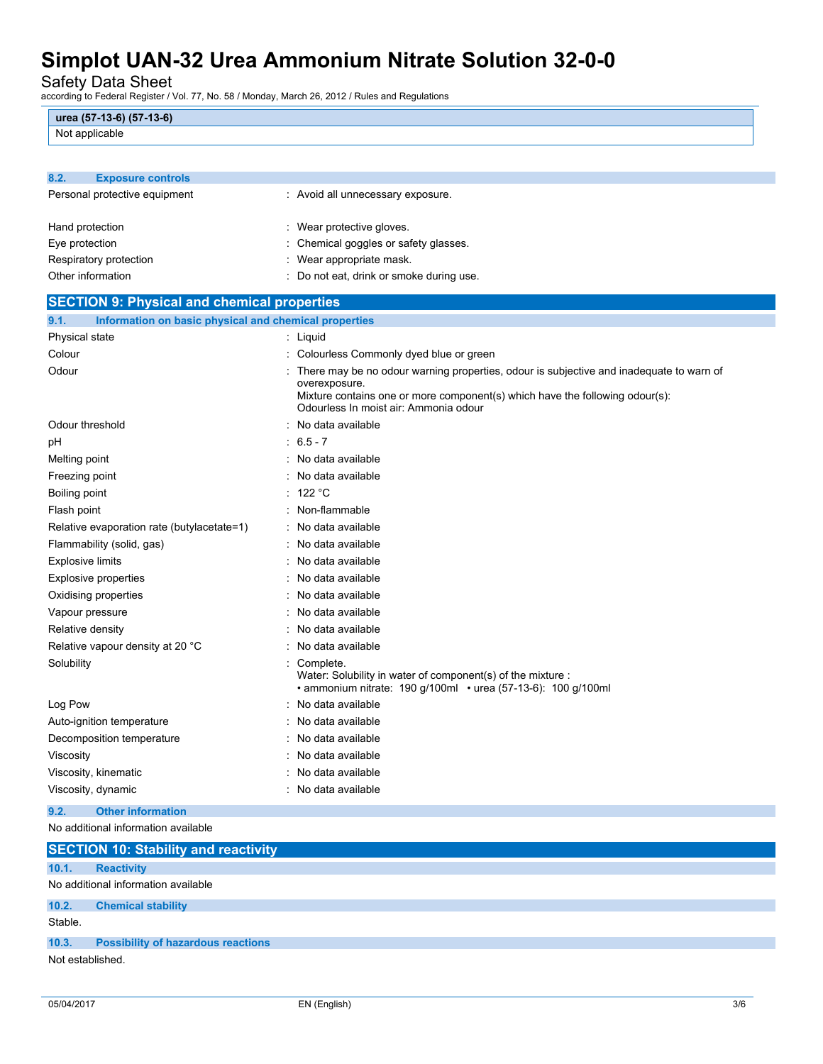Safety Data Sheet

according to Federal Register / Vol. 77, No. 58 / Monday, March 26, 2012 / Rules and Regulations

| urea (57-13-6) (57-13-6) |  |
|--------------------------|--|
| Not applicable           |  |

| 8.2.<br><b>Exposure controls</b>                              |                                                                                                                                                                                                                                   |  |  |
|---------------------------------------------------------------|-----------------------------------------------------------------------------------------------------------------------------------------------------------------------------------------------------------------------------------|--|--|
| Personal protective equipment                                 | : Avoid all unnecessary exposure.                                                                                                                                                                                                 |  |  |
| Hand protection                                               | : Wear protective gloves.                                                                                                                                                                                                         |  |  |
| Eye protection                                                | : Chemical goggles or safety glasses.                                                                                                                                                                                             |  |  |
| Respiratory protection                                        | : Wear appropriate mask.                                                                                                                                                                                                          |  |  |
| Other information                                             | : Do not eat, drink or smoke during use.                                                                                                                                                                                          |  |  |
| <b>SECTION 9: Physical and chemical properties</b>            |                                                                                                                                                                                                                                   |  |  |
| 9.1.<br>Information on basic physical and chemical properties |                                                                                                                                                                                                                                   |  |  |
| Physical state                                                | : Liquid                                                                                                                                                                                                                          |  |  |
| Colour                                                        | : Colourless Commonly dyed blue or green                                                                                                                                                                                          |  |  |
| Odour                                                         | There may be no odour warning properties, odour is subjective and inadequate to warn of<br>overexposure.<br>Mixture contains one or more component(s) which have the following odour(s):<br>Odourless In moist air: Ammonia odour |  |  |
| Odour threshold                                               | No data available                                                                                                                                                                                                                 |  |  |
| рH                                                            | $: 6.5 - 7$                                                                                                                                                                                                                       |  |  |
| Melting point                                                 | : No data available                                                                                                                                                                                                               |  |  |
| Freezing point                                                | : No data available                                                                                                                                                                                                               |  |  |
| Boiling point                                                 | : 122 $^{\circ}$ C                                                                                                                                                                                                                |  |  |
| Flash point                                                   | : Non-flammable                                                                                                                                                                                                                   |  |  |
| Relative evaporation rate (butylacetate=1)                    | : No data available                                                                                                                                                                                                               |  |  |
| Flammability (solid, gas)                                     | : No data available                                                                                                                                                                                                               |  |  |
| Explosive limits                                              | : No data available                                                                                                                                                                                                               |  |  |
| <b>Explosive properties</b>                                   | : No data available                                                                                                                                                                                                               |  |  |
| Oxidising properties                                          | : No data available                                                                                                                                                                                                               |  |  |
| Vapour pressure                                               | No data available                                                                                                                                                                                                                 |  |  |
| Relative density                                              | No data available                                                                                                                                                                                                                 |  |  |
| Relative vapour density at 20 °C                              | No data available                                                                                                                                                                                                                 |  |  |
| Solubility                                                    | : Complete.<br>Water: Solubility in water of component(s) of the mixture :<br>• ammonium nitrate: 190 g/100ml • urea (57-13-6): 100 g/100ml                                                                                       |  |  |
| Log Pow                                                       | : No data available                                                                                                                                                                                                               |  |  |
| Auto-ignition temperature                                     | No data available                                                                                                                                                                                                                 |  |  |
| Decomposition temperature                                     | : No data available                                                                                                                                                                                                               |  |  |
| Viscosity                                                     | : No data available                                                                                                                                                                                                               |  |  |
| Viscosity, kinematic                                          | : No data available                                                                                                                                                                                                               |  |  |
| Viscosity, dynamic                                            | : No data available                                                                                                                                                                                                               |  |  |
| <b>Other information</b><br>9.2.                              |                                                                                                                                                                                                                                   |  |  |
| No additional information available                           |                                                                                                                                                                                                                                   |  |  |

|                  | <b>SECTION 10: Stability and reactivity</b> |
|------------------|---------------------------------------------|
| 10.1.            | <b>Reactivity</b>                           |
|                  | No additional information available         |
| 10.2.            | <b>Chemical stability</b>                   |
| Stable.          |                                             |
| 10.3.            | <b>Possibility of hazardous reactions</b>   |
| Not established. |                                             |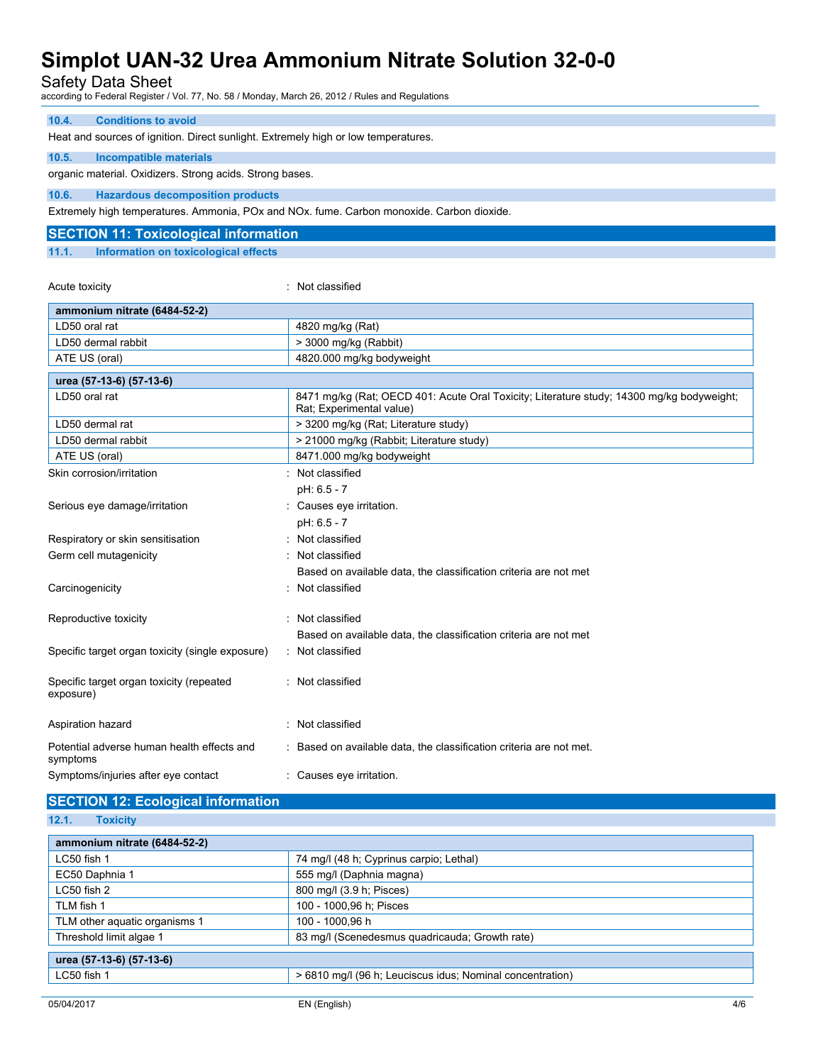Safety Data Sheet

according to Federal Register / Vol. 77, No. 58 / Monday, March 26, 2012 / Rules and Regulations

#### **10.4. Conditions to avoid**

Heat and sources of ignition. Direct sunlight. Extremely high or low temperatures.

#### **10.5. Incompatible materials**

organic material. Oxidizers. Strong acids. Strong bases.

**10.6. Hazardous decomposition products**

Extremely high temperatures. Ammonia, POx and NOx. fume. Carbon monoxide. Carbon dioxide.

### **SECTION 11: Toxicological information**

**11.1. Information on toxicological effects**

Acute toxicity in the contract of the contract of the contract of the contract of the contract of the contract of the contract of the contract of the contract of the contract of the contract of the contract of the contract

| ammonium nitrate (6484-52-2)                           |                                                                                                                       |  |
|--------------------------------------------------------|-----------------------------------------------------------------------------------------------------------------------|--|
| LD50 oral rat                                          | 4820 mg/kg (Rat)                                                                                                      |  |
| LD50 dermal rabbit                                     | > 3000 mg/kg (Rabbit)                                                                                                 |  |
| ATE US (oral)                                          | 4820.000 mg/kg bodyweight                                                                                             |  |
| urea (57-13-6) (57-13-6)                               |                                                                                                                       |  |
| LD50 oral rat                                          | 8471 mg/kg (Rat; OECD 401: Acute Oral Toxicity; Literature study; 14300 mg/kg bodyweight;<br>Rat: Experimental value) |  |
| LD50 dermal rat                                        | > 3200 mg/kg (Rat; Literature study)                                                                                  |  |
| LD50 dermal rabbit                                     | > 21000 mg/kg (Rabbit; Literature study)                                                                              |  |
| ATE US (oral)                                          | 8471.000 mg/kg bodyweight                                                                                             |  |
| Skin corrosion/irritation                              | : Not classified                                                                                                      |  |
|                                                        | pH: 6.5 - 7                                                                                                           |  |
| Serious eye damage/irritation                          | : Causes eye irritation.                                                                                              |  |
|                                                        | pH: 6.5 - 7                                                                                                           |  |
| Respiratory or skin sensitisation                      | Not classified                                                                                                        |  |
| Germ cell mutagenicity                                 | Not classified                                                                                                        |  |
|                                                        | Based on available data, the classification criteria are not met                                                      |  |
| Carcinogenicity                                        | Not classified                                                                                                        |  |
| Reproductive toxicity                                  | : Not classified                                                                                                      |  |
|                                                        | Based on available data, the classification criteria are not met                                                      |  |
| Specific target organ toxicity (single exposure)       | : Not classified                                                                                                      |  |
| Specific target organ toxicity (repeated<br>exposure)  | : Not classified                                                                                                      |  |
| Aspiration hazard                                      | : Not classified                                                                                                      |  |
| Potential adverse human health effects and<br>symptoms | : Based on available data, the classification criteria are not met.                                                   |  |
| Symptoms/injuries after eye contact                    | : Causes eye irritation.                                                                                              |  |

### **SECTION 12: Ecological information**

**12.1. Toxicity**

| ammonium nitrate (6484-52-2)  |                                                           |  |  |
|-------------------------------|-----------------------------------------------------------|--|--|
| LC50 fish 1                   | 74 mg/l (48 h; Cyprinus carpio; Lethal)                   |  |  |
| EC50 Daphnia 1                | 555 mg/l (Daphnia magna)                                  |  |  |
| LC50 fish 2                   | 800 mg/l (3.9 h; Pisces)                                  |  |  |
| TLM fish 1                    | 100 - 1000,96 h; Pisces                                   |  |  |
| TLM other aquatic organisms 1 | 100 - 1000.96 h                                           |  |  |
| Threshold limit algae 1       | 83 mg/l (Scenedesmus quadricauda; Growth rate)            |  |  |
| urea (57-13-6) (57-13-6)      |                                                           |  |  |
| LC50 fish 1                   | > 6810 mg/l (96 h; Leuciscus idus; Nominal concentration) |  |  |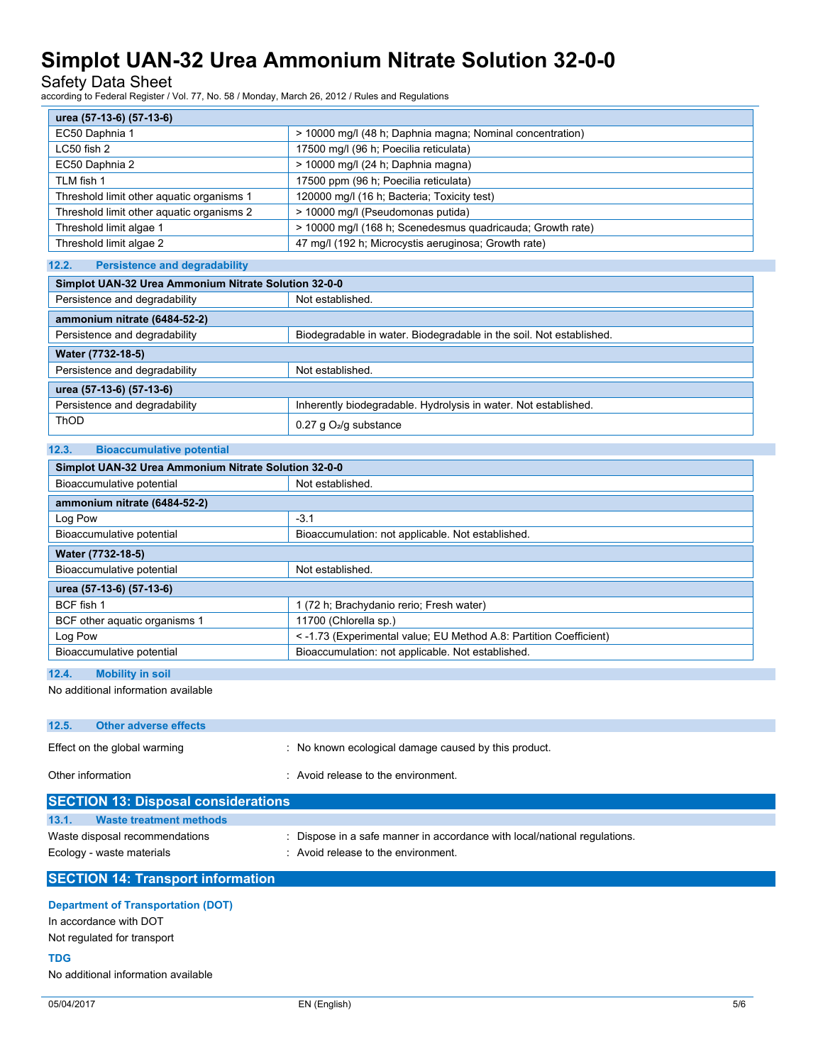Safety Data Sheet

according to Federal Register / Vol. 77, No. 58 / Monday, March 26, 2012 / Rules and Regulations

| urea (57-13-6) (57-13-6)                  |                                                            |  |  |
|-------------------------------------------|------------------------------------------------------------|--|--|
| EC50 Daphnia 1                            | > 10000 mg/l (48 h; Daphnia magna; Nominal concentration)  |  |  |
| $LC50$ fish 2                             | 17500 mg/l (96 h; Poecilia reticulata)                     |  |  |
| EC50 Daphnia 2                            | > 10000 mg/l (24 h; Daphnia magna)                         |  |  |
| TLM fish 1                                | 17500 ppm (96 h; Poecilia reticulata)                      |  |  |
| Threshold limit other aguatic organisms 1 | 120000 mg/l (16 h; Bacteria; Toxicity test)                |  |  |
| Threshold limit other aquatic organisms 2 | > 10000 mg/l (Pseudomonas putida)                          |  |  |
| Threshold limit algae 1                   | > 10000 mg/l (168 h; Scenedesmus quadricauda; Growth rate) |  |  |
| Threshold limit algae 2                   | 47 mg/l (192 h; Microcystis aeruginosa; Growth rate)       |  |  |

#### **12.2. Persistence and degradability**

**12.3. Bioaccumulative potential**

| Simplot UAN-32 Urea Ammonium Nitrate Solution 32-0-0 |                                                                     |  |  |
|------------------------------------------------------|---------------------------------------------------------------------|--|--|
| Persistence and degradability                        | Not established.                                                    |  |  |
| ammonium nitrate (6484-52-2)                         |                                                                     |  |  |
| Persistence and degradability                        | Biodegradable in water. Biodegradable in the soil. Not established. |  |  |
| Water (7732-18-5)                                    |                                                                     |  |  |
| Persistence and degradability                        | Not established.                                                    |  |  |
| urea (57-13-6) (57-13-6)                             |                                                                     |  |  |
| Persistence and degradability                        | Inherently biodegradable. Hydrolysis in water. Not established.     |  |  |
| ThOD                                                 | $0.27$ g $O2/g$ substance                                           |  |  |

| Simplot UAN-32 Urea Ammonium Nitrate Solution 32-0-0                           |                                                                    |  |  |
|--------------------------------------------------------------------------------|--------------------------------------------------------------------|--|--|
| Bioaccumulative potential                                                      | Not established.                                                   |  |  |
| ammonium nitrate (6484-52-2)                                                   |                                                                    |  |  |
| Log Pow                                                                        | $-3.1$                                                             |  |  |
| Bioaccumulation: not applicable. Not established.<br>Bioaccumulative potential |                                                                    |  |  |
| Water (7732-18-5)                                                              |                                                                    |  |  |
| Bioaccumulative potential                                                      | Not established.                                                   |  |  |
| urea (57-13-6) (57-13-6)                                                       |                                                                    |  |  |
| BCF fish 1                                                                     | 1 (72 h; Brachydanio rerio; Fresh water)                           |  |  |
| BCF other aquatic organisms 1                                                  | 11700 (Chlorella sp.)                                              |  |  |
| Log Pow                                                                        | < -1.73 (Experimental value; EU Method A.8: Partition Coefficient) |  |  |
| Bioaccumulative potential                                                      | Bioaccumulation: not applicable. Not established.                  |  |  |

#### **12.4. Mobility in soil**

No additional information available

### **12.5. Other adverse effects** Effect on the global warming : No known ecological damage caused by this product. Other information  $\cdot$  Avoid release to the environment.

| <b>SECTION 13: Disposal considerations</b>                  |                                                                                                                |
|-------------------------------------------------------------|----------------------------------------------------------------------------------------------------------------|
| 13.1.<br>Waste treatment methods                            |                                                                                                                |
| Waste disposal recommendations<br>Ecology - waste materials | Dispose in a safe manner in accordance with local/national regulations.<br>: Avoid release to the environment. |

### **SECTION 14: Transport information**

#### **Department of Transportation (DOT)**

In accordance with DOT

Not regulated for transport

#### **TDG**

No additional information available